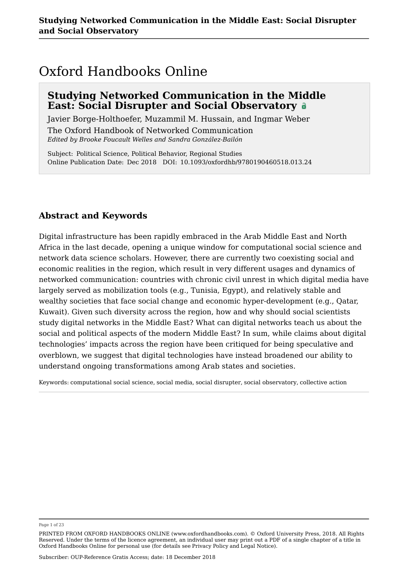## Oxford Handbooks Online

### **Studying Networked Communication in the Middle East: Social Disrupter and Social Observatory**

Javier Borge-Holthoefer, Muzammil M. Hussain, and Ingmar Weber

The Oxford Handbook of Networked Communication *Edited by Brooke Foucault Welles and Sandra González-Bailón*

Subject: Political Science, Political Behavior, Regional Studies Online Publication Date: Dec 2018 DOI: 10.1093/oxfordhb/9780190460518.013.24

### **Abstract and Keywords**

Digital infrastructure has been rapidly embraced in the Arab Middle East and North Africa in the last decade, opening a unique window for computational social science and network data science scholars. However, there are currently two coexisting social and economic realities in the region, which result in very different usages and dynamics of networked communication: countries with chronic civil unrest in which digital media have largely served as mobilization tools (e.g., Tunisia, Egypt), and relatively stable and wealthy societies that face social change and economic hyper-development (e.g., Qatar, Kuwait). Given such diversity across the region, how and why should social scientists study digital networks in the Middle East? What can digital networks teach us about the social and political aspects of the modern Middle East? In sum, while claims about digital technologies' impacts across the region have been critiqued for being speculative and overblown, we suggest that digital technologies have instead broadened our ability to understand ongoing transformations among Arab states and societies.

Keywords: computational social science, social media, social disrupter, social observatory, collective action

Page 1 of 23

PRINTED FROM OXFORD HANDBOOKS ONLINE (www.oxfordhandbooks.com). © Oxford University Press, 2018. All Rights Reserved. Under the terms of the licence agreement, an individual user may print out a PDF of a single chapter of a title in Oxford Handbooks Online for personal use (for details see Privacy Policy and Legal Notice).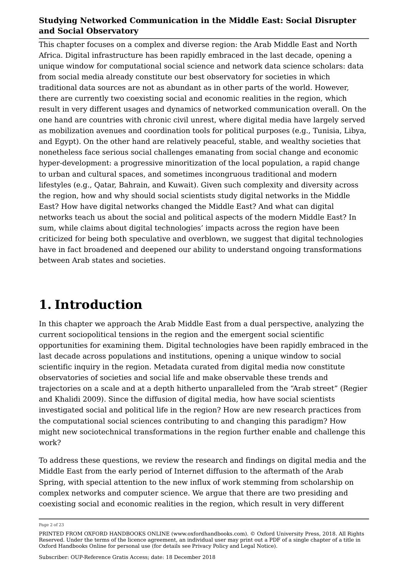This chapter focuses on a complex and diverse region: the Arab Middle East and North Africa. Digital infrastructure has been rapidly embraced in the last decade, opening a unique window for computational social science and network data science scholars: data from social media already constitute our best observatory for societies in which traditional data sources are not as abundant as in other parts of the world. However, there are currently two coexisting social and economic realities in the region, which result in very different usages and dynamics of networked communication overall. On the one hand are countries with chronic civil unrest, where digital media have largely served as mobilization avenues and coordination tools for political purposes (e.g., Tunisia, Libya, and Egypt). On the other hand are relatively peaceful, stable, and wealthy societies that nonetheless face serious social challenges emanating from social change and economic hyper-development: a progressive minoritization of the local population, a rapid change to urban and cultural spaces, and sometimes incongruous traditional and modern lifestyles (e.g., Qatar, Bahrain, and Kuwait). Given such complexity and diversity across the region, how and why should social scientists study digital networks in the Middle East? How have digital networks changed the Middle East? And what can digital networks teach us about the social and political aspects of the modern Middle East? In sum, while claims about digital technologies' impacts across the region have been criticized for being both speculative and overblown, we suggest that digital technologies have in fact broadened and deepened our ability to understand ongoing transformations between Arab states and societies.

## **1. Introduction**

In this chapter we approach the Arab Middle East from a dual perspective, analyzing the current sociopolitical tensions in the region and the emergent social scientific opportunities for examining them. Digital technologies have been rapidly embraced in the last decade across populations and institutions, opening a unique window to social scientific inquiry in the region. Metadata curated from digital media now constitute observatories of societies and social life and make observable these trends and trajectories on a scale and at a depth hitherto unparalleled from the "Arab street" (Regier and Khalidi 2009). Since the diffusion of digital media, how have social scientists investigated social and political life in the region? How are new research practices from the computational social sciences contributing to and changing this paradigm? How might new sociotechnical transformations in the region further enable and challenge this work?

To address these questions, we review the research and findings on digital media and the Middle East from the early period of Internet diffusion to the aftermath of the Arab Spring, with special attention to the new influx of work stemming from scholarship on complex networks and computer science. We argue that there are two presiding and coexisting social and economic realities in the region, which result in very different

Page 2 of 23

PRINTED FROM OXFORD HANDBOOKS ONLINE (www.oxfordhandbooks.com). © Oxford University Press, 2018. All Rights Reserved. Under the terms of the licence agreement, an individual user may print out a PDF of a single chapter of a title in Oxford Handbooks Online for personal use (for details see Privacy Policy and Legal Notice).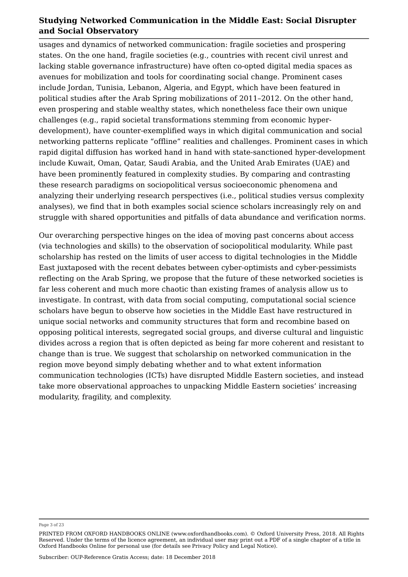usages and dynamics of networked communication: fragile societies and prospering states. On the one hand, fragile societies (e.g., countries with recent civil unrest and lacking stable governance infrastructure) have often co-opted digital media spaces as avenues for mobilization and tools for coordinating social change. Prominent cases include Jordan, Tunisia, Lebanon, Algeria, and Egypt, which have been featured in political studies after the Arab Spring mobilizations of 2011–2012. On the other hand, even prospering and stable wealthy states, which nonetheless face their own unique challenges (e.g., rapid societal transformations stemming from economic hyperdevelopment), have counter-exemplified ways in which digital communication and social networking patterns replicate "offline" realities and challenges. Prominent cases in which rapid digital diffusion has worked hand in hand with state-sanctioned hyper-development include Kuwait, Oman, Qatar, Saudi Arabia, and the United Arab Emirates (UAE) and have been prominently featured in complexity studies. By comparing and contrasting these research paradigms on sociopolitical versus socioeconomic phenomena and analyzing their underlying research perspectives (i.e., political studies versus complexity analyses), we find that in both examples social science scholars increasingly rely on and struggle with shared opportunities and pitfalls of data abundance and verification norms.

Our overarching perspective hinges on the idea of moving past concerns about access (via technologies and skills) to the observation of sociopolitical modularity. While past scholarship has rested on the limits of user access to digital technologies in the Middle East juxtaposed with the recent debates between cyber-optimists and cyber-pessimists reflecting on the Arab Spring, we propose that the future of these networked societies is far less coherent and much more chaotic than existing frames of analysis allow us to investigate. In contrast, with data from social computing, computational social science scholars have begun to observe how societies in the Middle East have restructured in unique social networks and community structures that form and recombine based on opposing political interests, segregated social groups, and diverse cultural and linguistic divides across a region that is often depicted as being far more coherent and resistant to change than is true. We suggest that scholarship on networked communication in the region move beyond simply debating whether and to what extent information communication technologies (ICTs) have disrupted Middle Eastern societies, and instead take more observational approaches to unpacking Middle Eastern societies' increasing modularity, fragility, and complexity.

Page 3 of 23

PRINTED FROM OXFORD HANDBOOKS ONLINE (www.oxfordhandbooks.com). © Oxford University Press, 2018. All Rights Reserved. Under the terms of the licence agreement, an individual user may print out a PDF of a single chapter of a title in Oxford Handbooks Online for personal use (for details see Privacy Policy and Legal Notice).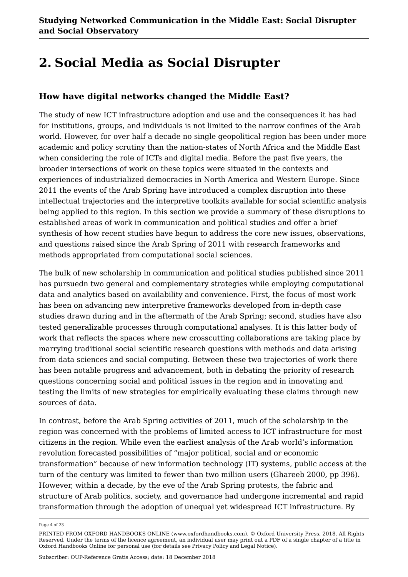# **2. Social Media as Social Disrupter**

### **How have digital networks changed the Middle East?**

The study of new ICT infrastructure adoption and use and the consequences it has had for institutions, groups, and individuals is not limited to the narrow confines of the Arab world. However, for over half a decade no single geopolitical region has been under more academic and policy scrutiny than the nation-states of North Africa and the Middle East when considering the role of ICTs and digital media. Before the past five years, the broader intersections of work on these topics were situated in the contexts and experiences of industrialized democracies in North America and Western Europe. Since 2011 the events of the Arab Spring have introduced a complex disruption into these intellectual trajectories and the interpretive toolkits available for social scientific analysis being applied to this region. In this section we provide a summary of these disruptions to established areas of work in communication and political studies and offer a brief synthesis of how recent studies have begun to address the core new issues, observations, and questions raised since the Arab Spring of 2011 with research frameworks and methods appropriated from computational social sciences.

The bulk of new scholarship in communication and political studies published since 2011 has pursuedn two general and complementary strategies while employing computational data and analytics based on availability and convenience. First, the focus of most work has been on advancing new interpretive frameworks developed from in-depth case studies drawn during and in the aftermath of the Arab Spring; second, studies have also tested generalizable processes through computational analyses. It is this latter body of work that reflects the spaces where new crosscutting collaborations are taking place by marrying traditional social scientific research questions with methods and data arising from data sciences and social computing. Between these two trajectories of work there has been notable progress and advancement, both in debating the priority of research questions concerning social and political issues in the region and in innovating and testing the limits of new strategies for empirically evaluating these claims through new sources of data.

In contrast, before the Arab Spring activities of 2011, much of the scholarship in the region was concerned with the problems of limited access to ICT infrastructure for most citizens in the region. While even the earliest analysis of the Arab world's information revolution forecasted possibilities of "major political, social and or economic transformation" because of new information technology (IT) systems, public access at the turn of the century was limited to fewer than two million users (Ghareeb 2000, pp 396). However, within a decade, by the eve of the Arab Spring protests, the fabric and structure of Arab politics, society, and governance had undergone incremental and rapid transformation through the adoption of unequal yet widespread ICT infrastructure. By

Page 4 of 23

PRINTED FROM OXFORD HANDBOOKS ONLINE (www.oxfordhandbooks.com). © Oxford University Press, 2018. All Rights Reserved. Under the terms of the licence agreement, an individual user may print out a PDF of a single chapter of a title in Oxford Handbooks Online for personal use (for details see Privacy Policy and Legal Notice).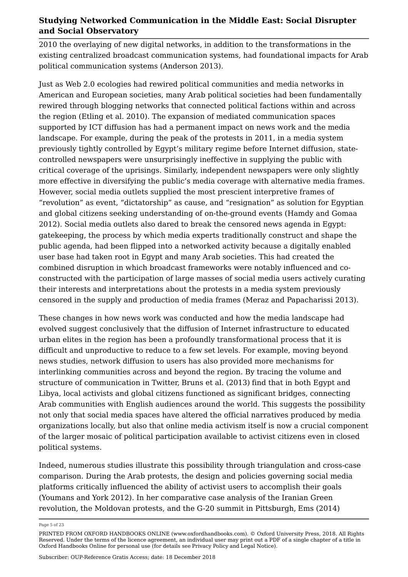2010 the overlaying of new digital networks, in addition to the transformations in the existing centralized broadcast communication systems, had foundational impacts for Arab political communication systems (Anderson 2013).

Just as Web 2.0 ecologies had rewired political communities and media networks in American and European societies, many Arab political societies had been fundamentally rewired through blogging networks that connected political factions within and across the region (Etling et al. 2010). The expansion of mediated communication spaces supported by ICT diffusion has had a permanent impact on news work and the media landscape. For example, during the peak of the protests in 2011, in a media system previously tightly controlled by Egypt's military regime before Internet diffusion, statecontrolled newspapers were unsurprisingly ineffective in supplying the public with critical coverage of the uprisings. Similarly, independent newspapers were only slightly more effective in diversifying the public's media coverage with alternative media frames. However, social media outlets supplied the most prescient interpretive frames of "revolution" as event, "dictatorship" as cause, and "resignation" as solution for Egyptian and global citizens seeking understanding of on-the-ground events (Hamdy and Gomaa 2012). Social media outlets also dared to break the censored news agenda in Egypt: gatekeeping, the process by which media experts traditionally construct and shape the public agenda, had been flipped into a networked activity because a digitally enabled user base had taken root in Egypt and many Arab societies. This had created the combined disruption in which broadcast frameworks were notably influenced and coconstructed with the participation of large masses of social media users actively curating their interests and interpretations about the protests in a media system previously censored in the supply and production of media frames (Meraz and Papacharissi 2013).

These changes in how news work was conducted and how the media landscape had evolved suggest conclusively that the diffusion of Internet infrastructure to educated urban elites in the region has been a profoundly transformational process that it is difficult and unproductive to reduce to a few set levels. For example, moving beyond news studies, network diffusion to users has also provided more mechanisms for interlinking communities across and beyond the region. By tracing the volume and structure of communication in Twitter, Bruns et al. (2013) find that in both Egypt and Libya, local activists and global citizens functioned as significant bridges, connecting Arab communities with English audiences around the world. This suggests the possibility not only that social media spaces have altered the official narratives produced by media organizations locally, but also that online media activism itself is now a crucial component of the larger mosaic of political participation available to activist citizens even in closed political systems.

Indeed, numerous studies illustrate this possibility through triangulation and cross-case comparison. During the Arab protests, the design and policies governing social media platforms critically influenced the ability of activist users to accomplish their goals (Youmans and York 2012). In her comparative case analysis of the Iranian Green revolution, the Moldovan protests, and the G-20 summit in Pittsburgh, Ems (2014)

Page 5 of 23

PRINTED FROM OXFORD HANDBOOKS ONLINE (www.oxfordhandbooks.com). © Oxford University Press, 2018. All Rights Reserved. Under the terms of the licence agreement, an individual user may print out a PDF of a single chapter of a title in Oxford Handbooks Online for personal use (for details see Privacy Policy and Legal Notice).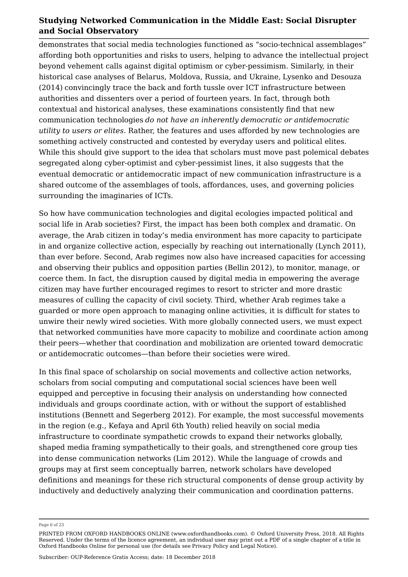demonstrates that social media technologies functioned as "socio-technical assemblages" affording both opportunities and risks to users, helping to advance the intellectual project beyond vehement calls against digital optimism or cyber-pessimism. Similarly, in their historical case analyses of Belarus, Moldova, Russia, and Ukraine, Lysenko and Desouza (2014) convincingly trace the back and forth tussle over ICT infrastructure between authorities and dissenters over a period of fourteen years. In fact, through both contextual and historical analyses, these examinations consistently find that new communication technologies *do not have an inherently democratic or antidemocratic utility to users or elites*. Rather, the features and uses afforded by new technologies are something actively constructed and contested by everyday users and political elites. While this should give support to the idea that scholars must move past polemical debates segregated along cyber-optimist and cyber-pessimist lines, it also suggests that the eventual democratic or antidemocratic impact of new communication infrastructure is a shared outcome of the assemblages of tools, affordances, uses, and governing policies surrounding the imaginaries of ICTs.

So how have communication technologies and digital ecologies impacted political and social life in Arab societies? First, the impact has been both complex and dramatic. On average, the Arab citizen in today's media environment has more capacity to participate in and organize collective action, especially by reaching out internationally (Lynch 2011), than ever before. Second, Arab regimes now also have increased capacities for accessing and observing their publics and opposition parties (Bellin 2012), to monitor, manage, or coerce them. In fact, the disruption caused by digital media in empowering the average citizen may have further encouraged regimes to resort to stricter and more drastic measures of culling the capacity of civil society. Third, whether Arab regimes take a guarded or more open approach to managing online activities, it is difficult for states to unwire their newly wired societies. With more globally connected users, we must expect that networked communities have more capacity to mobilize and coordinate action among their peers—whether that coordination and mobilization are oriented toward democratic or antidemocratic outcomes—than before their societies were wired.

In this final space of scholarship on social movements and collective action networks, scholars from social computing and computational social sciences have been well equipped and perceptive in focusing their analysis on understanding how connected individuals and groups coordinate action, with or without the support of established institutions (Bennett and Segerberg 2012). For example, the most successful movements in the region (e.g., Kefaya and April 6th Youth) relied heavily on social media infrastructure to coordinate sympathetic crowds to expand their networks globally, shaped media framing sympathetically to their goals, and strengthened core group ties into dense communication networks (Lim 2012). While the language of crowds and groups may at first seem conceptually barren, network scholars have developed definitions and meanings for these rich structural components of dense group activity by inductively and deductively analyzing their communication and coordination patterns.

Page 6 of 23

PRINTED FROM OXFORD HANDBOOKS ONLINE (www.oxfordhandbooks.com). © Oxford University Press, 2018. All Rights Reserved. Under the terms of the licence agreement, an individual user may print out a PDF of a single chapter of a title in Oxford Handbooks Online for personal use (for details see Privacy Policy and Legal Notice).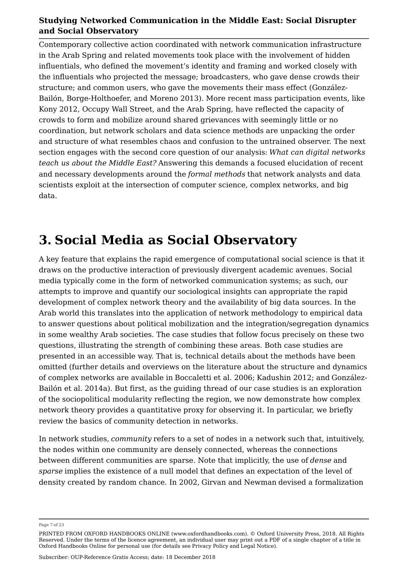Contemporary collective action coordinated with network communication infrastructure in the Arab Spring and related movements took place with the involvement of hidden influentials, who defined the movement's identity and framing and worked closely with the influentials who projected the message; broadcasters, who gave dense crowds their structure; and common users, who gave the movements their mass effect (González-Bailón, Borge-Holthoefer, and Moreno 2013). More recent mass participation events, like Kony 2012, Occupy Wall Street, and the Arab Spring, have reflected the capacity of crowds to form and mobilize around shared grievances with seemingly little or no coordination, but network scholars and data science methods are unpacking the order and structure of what resembles chaos and confusion to the untrained observer. The next section engages with the second core question of our analysis: *What can digital networks teach us about the Middle East?* Answering this demands a focused elucidation of recent and necessary developments around the *formal methods* that network analysts and data scientists exploit at the intersection of computer science, complex networks, and big data.

# **3. Social Media as Social Observatory**

A key feature that explains the rapid emergence of computational social science is that it draws on the productive interaction of previously divergent academic avenues. Social media typically come in the form of networked communication systems; as such, our attempts to improve and quantify our sociological insights can appropriate the rapid development of complex network theory and the availability of big data sources. In the Arab world this translates into the application of network methodology to empirical data to answer questions about political mobilization and the integration/segregation dynamics in some wealthy Arab societies. The case studies that follow focus precisely on these two questions, illustrating the strength of combining these areas. Both case studies are presented in an accessible way. That is, technical details about the methods have been omitted (further details and overviews on the literature about the structure and dynamics of complex networks are available in Boccaletti et al. 2006; Kadushin 2012; and González-Bailón et al. 2014a). But first, as the guiding thread of our case studies is an exploration of the sociopolitical modularity reflecting the region, we now demonstrate how complex network theory provides a quantitative proxy for observing it. In particular, we briefly review the basics of community detection in networks.

In network studies, *community* refers to a set of nodes in a network such that, intuitively, the nodes within one community are densely connected, whereas the connections between different communities are sparse. Note that implicitly, the use of *dense* and *sparse* implies the existence of a null model that defines an expectation of the level of density created by random chance. In 2002, Girvan and Newman devised a formalization

Page 7 of 23

PRINTED FROM OXFORD HANDBOOKS ONLINE (www.oxfordhandbooks.com). © Oxford University Press, 2018. All Rights Reserved. Under the terms of the licence agreement, an individual user may print out a PDF of a single chapter of a title in Oxford Handbooks Online for personal use (for details see Privacy Policy and Legal Notice).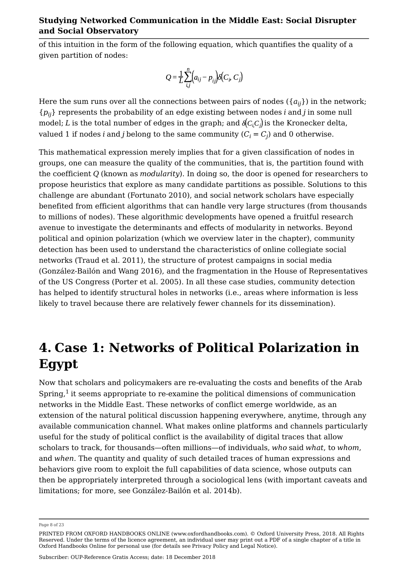of this intuition in the form of the following equation, which quantifies the quality of a given partition of nodes:

$$
Q = \frac{1}{L} \sum_{i,j}^{n} \left( a_{ij} - p_{ij} \right) \delta \left( C_i, C_j \right)
$$

Here the sum runs over all the connections between pairs of nodes  $(\{a_{ij}\})$  in the network;  $\{p_{ij}\}$  represents the probability of an edge existing between nodes  $i$  and  $j$  in some null model; *L* is the total number of edges in the graph; and  $\delta(C_i C_j)$  is the Kronecker delta, valued 1 if nodes  $i$  and  $j$  belong to the same community ( $C_i = C_j$ ) and 0 otherwise.

This mathematical expression merely implies that for a given classification of nodes in groups, one can measure the quality of the communities, that is, the partition found with the coefficient *Q* (known as *modularity*). In doing so, the door is opened for researchers to propose heuristics that explore as many candidate partitions as possible. Solutions to this challenge are abundant (Fortunato 2010), and social network scholars have especially benefited from efficient algorithms that can handle very large structures (from thousands to millions of nodes). These algorithmic developments have opened a fruitful research avenue to investigate the determinants and effects of modularity in networks. Beyond political and opinion polarization (which we overview later in the chapter), community detection has been used to understand the characteristics of online collegiate social networks (Traud et al. 2011), the structure of protest campaigns in social media (González-Bailón and Wang 2016), and the fragmentation in the House of Representatives of the US Congress (Porter et al. 2005). In all these case studies, community detection has helped to identify structural holes in networks (i.e., areas where information is less likely to travel because there are relatively fewer channels for its dissemination).

# **4. Case 1: Networks of Political Polarization in Egypt**

Now that scholars and policymakers are re-evaluating the costs and benefits of the Arab Spring, $^1$  it seems appropriate to re-examine the political dimensions of communication networks in the Middle East. These networks of conflict emerge worldwide, as an extension of the natural political discussion happening everywhere, anytime, through any available communication channel. What makes online platforms and channels particularly useful for the study of political conflict is the availability of digital traces that allow scholars to track, for thousands—often millions—of individuals, *who* said *what*, to *whom*, and *when*. The quantity and quality of such detailed traces of human expressions and behaviors give room to exploit the full capabilities of data science, whose outputs can then be appropriately interpreted through a sociological lens (with important caveats and limitations; for more, see González-Bailón et al. 2014b).

Page 8 of 23

PRINTED FROM OXFORD HANDBOOKS ONLINE (www.oxfordhandbooks.com). © Oxford University Press, 2018. All Rights Reserved. Under the terms of the licence agreement, an individual user may print out a PDF of a single chapter of a title in Oxford Handbooks Online for personal use (for details see Privacy Policy and Legal Notice).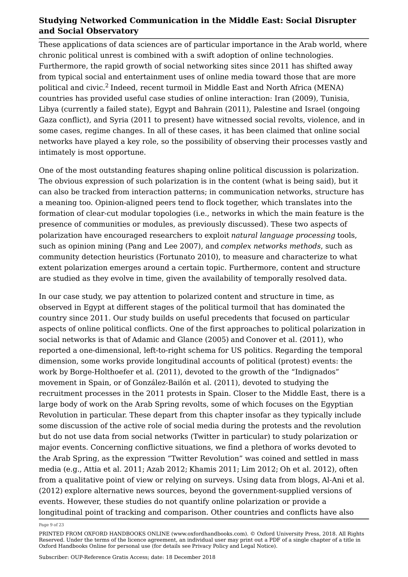These applications of data sciences are of particular importance in the Arab world, where chronic political unrest is combined with a swift adoption of online technologies. Furthermore, the rapid growth of social networking sites since 2011 has shifted away from typical social and entertainment uses of online media toward those that are more political and civic.<sup>2</sup> Indeed, recent turmoil in Middle East and North Africa (MENA) countries has provided useful case studies of online interaction: Iran (2009), Tunisia, Libya (currently a failed state), Egypt and Bahrain (2011), Palestine and Israel (ongoing Gaza conflict), and Syria (2011 to present) have witnessed social revolts, violence, and in some cases, regime changes. In all of these cases, it has been claimed that online social networks have played a key role, so the possibility of observing their processes vastly and intimately is most opportune.

One of the most outstanding features shaping online political discussion is polarization. The obvious expression of such polarization is in the content (what is being said), but it can also be tracked from interaction patterns; in communication networks, structure has a meaning too. Opinion-aligned peers tend to flock together, which translates into the formation of clear-cut modular topologies (i.e., networks in which the main feature is the presence of communities or modules, as previously discussed). These two aspects of polarization have encouraged researchers to exploit *natural language processing* tools, such as opinion mining (Pang and Lee 2007), and *complex networks methods*, such as community detection heuristics (Fortunato 2010), to measure and characterize to what extent polarization emerges around a certain topic. Furthermore, content and structure are studied as they evolve in time, given the availability of temporally resolved data.

In our case study, we pay attention to polarized content and structure in time, as observed in Egypt at different stages of the political turmoil that has dominated the country since 2011. Our study builds on useful precedents that focused on particular aspects of online political conflicts. One of the first approaches to political polarization in social networks is that of Adamic and Glance (2005) and Conover et al. (2011), who reported a one-dimensional, left-to-right schema for US politics. Regarding the temporal dimension, some works provide longitudinal accounts of political (protest) events: the work by Borge-Holthoefer et al. (2011), devoted to the growth of the "Indignados" movement in Spain, or of González-Bailón et al. (2011), devoted to studying the recruitment processes in the 2011 protests in Spain. Closer to the Middle East, there is a large body of work on the Arab Spring revolts, some of which focuses on the Egyptian Revolution in particular. These depart from this chapter insofar as they typically include some discussion of the active role of social media during the protests and the revolution but do not use data from social networks (Twitter in particular) to study polarization or major events. Concerning conflictive situations, we find a plethora of works devoted to the Arab Spring, as the expression "Twitter Revolution" was coined and settled in mass media (e.g., Attia et al. 2011; Azab 2012; Khamis 2011; Lim 2012; Oh et al. 2012), often from a qualitative point of view or relying on surveys. Using data from blogs, Al-Ani et al. (2012) explore alternative news sources, beyond the government-supplied versions of events. However, these studies do not quantify online polarization or provide a longitudinal point of tracking and comparison. Other countries and conflicts have also

Page 9 of 23

PRINTED FROM OXFORD HANDBOOKS ONLINE (www.oxfordhandbooks.com). © Oxford University Press, 2018. All Rights Reserved. Under the terms of the licence agreement, an individual user may print out a PDF of a single chapter of a title in Oxford Handbooks Online for personal use (for details see Privacy Policy and Legal Notice).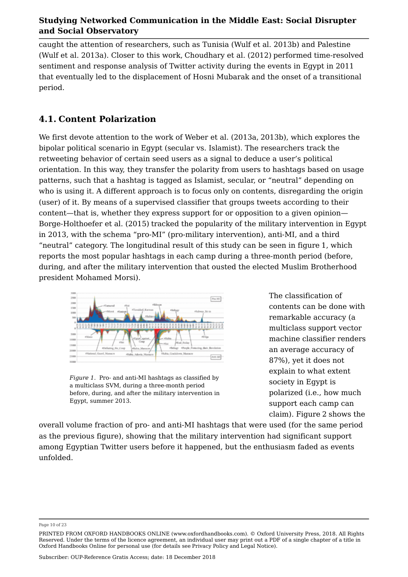caught the attention of researchers, such as Tunisia (Wulf et al. 2013b) and Palestine (Wulf et al. 2013a). Closer to this work, Choudhary et al. (2012) performed time-resolved sentiment and response analysis of Twitter activity during the events in Egypt in 2011 that eventually led to the displacement of Hosni Mubarak and the onset of a transitional period.

## **4.1. Content Polarization**

We first devote attention to the work of Weber et al. (2013a, 2013b), which explores the bipolar political scenario in Egypt (secular vs. Islamist). The researchers track the retweeting behavior of certain seed users as a signal to deduce a user's political orientation. In this way, they transfer the polarity from users to hashtags based on usage patterns, such that a hashtag is tagged as Islamist, secular, or "neutral" depending on who is using it. A different approach is to focus only on contents, disregarding the origin (user) of it. By means of a supervised classifier that groups tweets according to their content—that is, whether they express support for or opposition to a given opinion— Borge-Holthoefer et al. (2015) tracked the popularity of the military intervention in Egypt in 2013, with the schema "pro-MI" (pro-military intervention), anti-MI, and a third "neutral" category. The longitudinal result of this study can be seen in figure 1, which reports the most popular hashtags in each camp during a three-month period (before, during, and after the military intervention that ousted the elected Muslim Brotherhood president Mohamed Morsi).



*Figure 1.* Pro- and anti-MI hashtags as classified by a multiclass SVM, during a three-month period before, during, and after the military intervention in Egypt, summer 2013.

The classification of contents can be done with remarkable accuracy (a multiclass support vector machine classifier renders an average accuracy of 87%), yet it does not explain to what extent society in Egypt is polarized (i.e., how much support each camp can claim). Figure 2 shows the

overall volume fraction of pro- and anti-MI hashtags that were used (for the same period as the previous figure), showing that the military intervention had significant support among Egyptian Twitter users before it happened, but the enthusiasm faded as events unfolded.

Page 10 of 23

PRINTED FROM OXFORD HANDBOOKS ONLINE (www.oxfordhandbooks.com). © Oxford University Press, 2018. All Rights Reserved. Under the terms of the licence agreement, an individual user may print out a PDF of a single chapter of a title in Oxford Handbooks Online for personal use (for details see Privacy Policy and Legal Notice).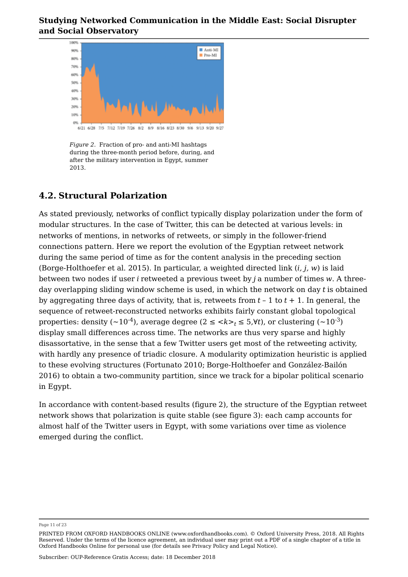

*Figure 2.* Fraction of pro- and anti-MI hashtags during the three-month period before, during, and after the military intervention in Egypt, summer 2013.

### **4.2. Structural Polarization**

As stated previously, networks of conflict typically display polarization under the form of modular structures. In the case of Twitter, this can be detected at various levels: in networks of mentions, in networks of retweets, or simply in the follower-friend connections pattern. Here we report the evolution of the Egyptian retweet network during the same period of time as for the content analysis in the preceding section (Borge-Holthoefer et al. 2015). In particular, a weighted directed link (*i, j, w*) is laid between two nodes if user *i* retweeted a previous tweet by *j* a number of times *w*. A threeday overlapping sliding window scheme is used, in which the network on day *t* is obtained by aggregating three days of activity, that is, retweets from *t* – 1 to *t* + 1. In general, the sequence of retweet-reconstructed networks exhibits fairly constant global topological properties: density (~10<sup>-4</sup>), average degree (2  $\leq$  < $k$ > $\gt$ <sub>t</sub>  $\leq$  5,∀*t*), or clustering (~10<sup>-3</sup>) display small differences across time. The networks are thus very sparse and highly disassortative, in the sense that a few Twitter users get most of the retweeting activity, with hardly any presence of triadic closure. A modularity optimization heuristic is applied to these evolving structures (Fortunato 2010; Borge-Holthoefer and González-Bailón 2016) to obtain a two-community partition, since we track for a bipolar political scenario in Egypt.

In accordance with content-based results (figure 2), the structure of the Egyptian retweet network shows that polarization is quite stable (see figure 3): each camp accounts for almost half of the Twitter users in Egypt, with some variations over time as violence emerged during the conflict.

Page 11 of 23

PRINTED FROM OXFORD HANDBOOKS ONLINE (www.oxfordhandbooks.com). © Oxford University Press, 2018. All Rights Reserved. Under the terms of the licence agreement, an individual user may print out a PDF of a single chapter of a title in Oxford Handbooks Online for personal use (for details see Privacy Policy and Legal Notice).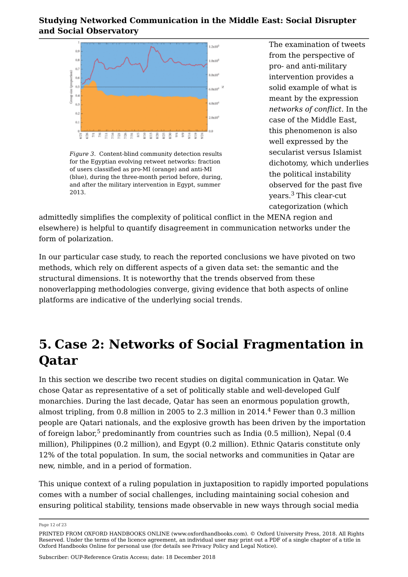

*Figure 3.* Content-blind community detection results for the Egyptian evolving retweet networks: fraction of users classified as pro-MI (orange) and anti-MI (blue), during the three-month period before, during, and after the military intervention in Egypt, summer

The examination of tweets from the perspective of pro- and anti-military intervention provides a solid example of what is meant by the expression *networks of conflict*. In the case of the Middle East, this phenomenon is also well expressed by the secularist versus Islamist dichotomy, which underlies the political instability observed for the past five zous. This clear-cut vears.<sup>3</sup> This clear-cut categorization (which

admittedly simplifies the complexity of political conflict in the MENA region and elsewhere) is helpful to quantify disagreement in communication networks under the form of polarization.

In our particular case study, to reach the reported conclusions we have pivoted on two methods, which rely on different aspects of a given data set: the semantic and the structural dimensions. It is noteworthy that the trends observed from these nonoverlapping methodologies converge, giving evidence that both aspects of online platforms are indicative of the underlying social trends.

# **5. Case 2: Networks of Social Fragmentation in Qatar**

In this section we describe two recent studies on digital communication in Qatar. We chose Qatar as representative of a set of politically stable and well-developed Gulf monarchies. During the last decade, Qatar has seen an enormous population growth, almost tripling, from 0.8 million in 2005 to 2.3 million in 2014. $^4$  Fewer than 0.3 million people are Qatari nationals, and the explosive growth has been driven by the importation of foreign labor, $^5$  predominantly from countries such as India (0.5 million), Nepal (0.4  $\,$ million), Philippines (0.2 million), and Egypt (0.2 million). Ethnic Qataris constitute only 12% of the total population. In sum, the social networks and communities in Qatar are new, nimble, and in a period of formation.

This unique context of a ruling population in juxtaposition to rapidly imported populations comes with a number of social challenges, including maintaining social cohesion and ensuring political stability, tensions made observable in new ways through social media

Page 12 of 23

PRINTED FROM OXFORD HANDBOOKS ONLINE (www.oxfordhandbooks.com). © Oxford University Press, 2018. All Rights Reserved. Under the terms of the licence agreement, an individual user may print out a PDF of a single chapter of a title in Oxford Handbooks Online for personal use (for details see Privacy Policy and Legal Notice).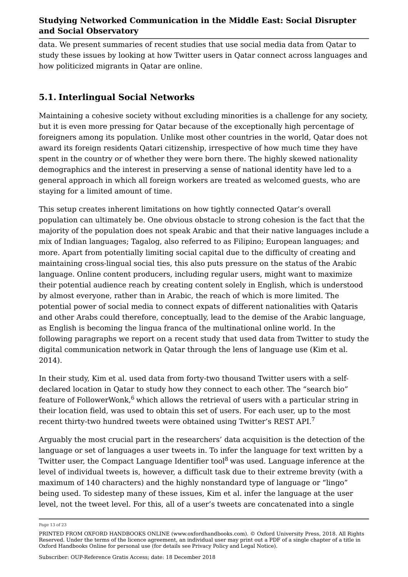data. We present summaries of recent studies that use social media data from Qatar to study these issues by looking at how Twitter users in Qatar connect across languages and how politicized migrants in Qatar are online.

## **5.1. Interlingual Social Networks**

Maintaining a cohesive society without excluding minorities is a challenge for any society, but it is even more pressing for Qatar because of the exceptionally high percentage of foreigners among its population. Unlike most other countries in the world, Qatar does not award its foreign residents Qatari citizenship, irrespective of how much time they have spent in the country or of whether they were born there. The highly skewed nationality demographics and the interest in preserving a sense of national identity have led to a general approach in which all foreign workers are treated as welcomed guests, who are staying for a limited amount of time.

This setup creates inherent limitations on how tightly connected Qatar's overall population can ultimately be. One obvious obstacle to strong cohesion is the fact that the majority of the population does not speak Arabic and that their native languages include a mix of Indian languages; Tagalog, also referred to as Filipino; European languages; and more. Apart from potentially limiting social capital due to the difficulty of creating and maintaining cross-lingual social ties, this also puts pressure on the status of the Arabic language. Online content producers, including regular users, might want to maximize their potential audience reach by creating content solely in English, which is understood by almost everyone, rather than in Arabic, the reach of which is more limited. The potential power of social media to connect expats of different nationalities with Qataris and other Arabs could therefore, conceptually, lead to the demise of the Arabic language, as English is becoming the lingua franca of the multinational online world. In the following paragraphs we report on a recent study that used data from Twitter to study the digital communication network in Qatar through the lens of language use (Kim et al. 2014).

In their study, Kim et al. used data from forty-two thousand Twitter users with a selfdeclared location in Qatar to study how they connect to each other. The "search bio" feature of FollowerWonk, $^6$  which allows the retrieval of users with a particular string in their location field, was used to obtain this set of users. For each user, up to the most recent thirty-two hundred tweets were obtained using Twitter's REST API. 7

Arguably the most crucial part in the researchers' data acquisition is the detection of the language or set of languages a user tweets in. To infer the language for text written by a Twitter user, the Compact Language Identifier tool $^8$  was used. Language inference at the level of individual tweets is, however, a difficult task due to their extreme brevity (with a maximum of 140 characters) and the highly nonstandard type of language or "lingo" being used. To sidestep many of these issues, Kim et al. infer the language at the user level, not the tweet level. For this, all of a user's tweets are concatenated into a single

Page 13 of 23

PRINTED FROM OXFORD HANDBOOKS ONLINE (www.oxfordhandbooks.com). © Oxford University Press, 2018. All Rights Reserved. Under the terms of the licence agreement, an individual user may print out a PDF of a single chapter of a title in Oxford Handbooks Online for personal use (for details see Privacy Policy and Legal Notice).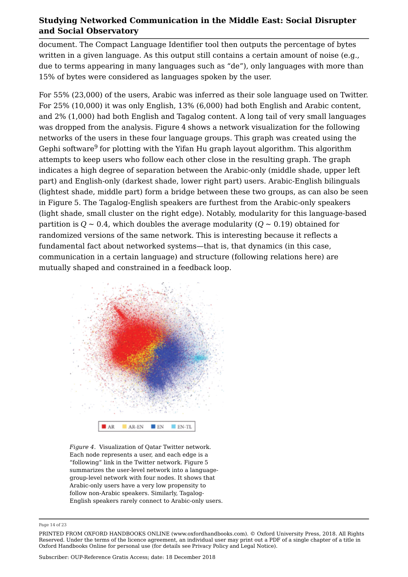document. The Compact Language Identifier tool then outputs the percentage of bytes written in a given language. As this output still contains a certain amount of noise (e.g., due to terms appearing in many languages such as "de"), only languages with more than 15% of bytes were considered as languages spoken by the user.

For 55% (23,000) of the users, Arabic was inferred as their sole language used on Twitter. For 25% (10,000) it was only English, 13% (6,000) had both English and Arabic content, and 2% (1,000) had both English and Tagalog content. A long tail of very small languages was dropped from the analysis. Figure 4 shows a network visualization for the following networks of the users in these four language groups. This graph was created using the Gephi software $^9$  for plotting with the Yifan Hu graph layout algorithm. This algorithm attempts to keep users who follow each other close in the resulting graph. The graph indicates a high degree of separation between the Arabic-only (middle shade, upper left part) and English-only (darkest shade, lower right part) users. Arabic-English bilinguals (lightest shade, middle part) form a bridge between these two groups, as can also be seen in Figure 5. The Tagalog-English speakers are furthest from the Arabic-only speakers (light shade, small cluster on the right edge). Notably, modularity for this language-based partition is  $Q \sim 0.4$ , which doubles the average modularity ( $Q \sim 0.19$ ) obtained for randomized versions of the same network. This is interesting because it reflects a fundamental fact about networked systems—that is, that dynamics (in this case, communication in a certain language) and structure (following relations here) are mutually shaped and constrained in a feedback loop.



*Figure 4.* Visualization of Qatar Twitter network. Each node represents a user, and each edge is a "following" link in the Twitter network. Figure 5 summarizes the user-level network into a languagegroup-level network with four nodes. It shows that Arabic-only users have a very low propensity to follow non-Arabic speakers. Similarly, Tagalog-English speakers rarely connect to Arabic-only users.

Page 14 of 23

PRINTED FROM OXFORD HANDBOOKS ONLINE (www.oxfordhandbooks.com). © Oxford University Press, 2018. All Rights Reserved. Under the terms of the licence agreement, an individual user may print out a PDF of a single chapter of a title in Oxford Handbooks Online for personal use (for details see Privacy Policy and Legal Notice).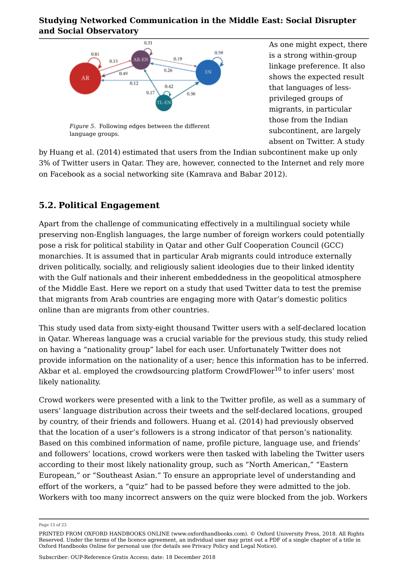

*Figure 5.* Following edges between the different language groups.

As one might expect, there is a strong within-group linkage preference. It also shows the expected result that languages of lessprivileged groups of migrants, in particular those from the Indian subcontinent, are largely absent on Twitter. A study

by Huang et al. (2014) estimated that users from the Indian subcontinent make up only 3% of Twitter users in Qatar. They are, however, connected to the Internet and rely more on Facebook as a social networking site (Kamrava and Babar 2012).

## **5.2. Political Engagement**

Apart from the challenge of communicating effectively in a multilingual society while preserving non-English languages, the large number of foreign workers could potentially pose a risk for political stability in Qatar and other Gulf Cooperation Council (GCC) monarchies. It is assumed that in particular Arab migrants could introduce externally driven politically, socially, and religiously salient ideologies due to their linked identity with the Gulf nationals and their inherent embeddedness in the geopolitical atmosphere of the Middle East. Here we report on a study that used Twitter data to test the premise that migrants from Arab countries are engaging more with Qatar's domestic politics online than are migrants from other countries.

This study used data from sixty-eight thousand Twitter users with a self-declared location in Qatar. Whereas language was a crucial variable for the previous study, this study relied on having a "nationality group" label for each user. Unfortunately Twitter does not provide information on the nationality of a user; hence this information has to be inferred. Akbar et al. employed the crowdsourcing platform CrowdFlower $^{10}$  to infer users' most likely nationality.

Crowd workers were presented with a link to the Twitter profile, as well as a summary of users' language distribution across their tweets and the self-declared locations, grouped by country, of their friends and followers. Huang et al. (2014) had previously observed that the location of a user's followers is a strong indicator of that person's nationality. Based on this combined information of name, profile picture, language use, and friends' and followers' locations, crowd workers were then tasked with labeling the Twitter users according to their most likely nationality group, such as "North American," "Eastern European," or "Southeast Asian." To ensure an appropriate level of understanding and effort of the workers, a "quiz" had to be passed before they were admitted to the job. Workers with too many incorrect answers on the quiz were blocked from the job. Workers

Page 15 of 23

PRINTED FROM OXFORD HANDBOOKS ONLINE (www.oxfordhandbooks.com). © Oxford University Press, 2018. All Rights Reserved. Under the terms of the licence agreement, an individual user may print out a PDF of a single chapter of a title in Oxford Handbooks Online for personal use (for details see Privacy Policy and Legal Notice).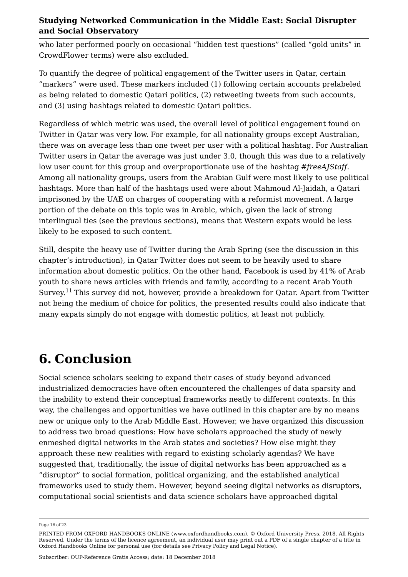who later performed poorly on occasional "hidden test questions" (called "gold units" in CrowdFlower terms) were also excluded.

To quantify the degree of political engagement of the Twitter users in Qatar, certain "markers" were used. These markers included (1) following certain accounts prelabeled as being related to domestic Qatari politics, (2) retweeting tweets from such accounts, and (3) using hashtags related to domestic Qatari politics.

Regardless of which metric was used, the overall level of political engagement found on Twitter in Qatar was very low. For example, for all nationality groups except Australian, there was on average less than one tweet per user with a political hashtag. For Australian Twitter users in Qatar the average was just under 3.0, though this was due to a relatively low user count for this group and overproportionate use of the hashtag *#freeAJStaff*. Among all nationality groups, users from the Arabian Gulf were most likely to use political hashtags. More than half of the hashtags used were about Mahmoud Al-Jaidah, a Qatari imprisoned by the UAE on charges of cooperating with a reformist movement. A large portion of the debate on this topic was in Arabic, which, given the lack of strong interlingual ties (see the previous sections), means that Western expats would be less likely to be exposed to such content.

Still, despite the heavy use of Twitter during the Arab Spring (see the discussion in this chapter's introduction), in Qatar Twitter does not seem to be heavily used to share information about domestic politics. On the other hand, Facebook is used by 41% of Arab youth to share news articles with friends and family, according to a recent Arab Youth Survey.<sup>11</sup> This survey did not, however, provide a breakdown for Qatar. Apart from Twitter not being the medium of choice for politics, the presented results could also indicate that many expats simply do not engage with domestic politics, at least not publicly.

# **6. Conclusion**

Social science scholars seeking to expand their cases of study beyond advanced industrialized democracies have often encountered the challenges of data sparsity and the inability to extend their conceptual frameworks neatly to different contexts. In this way, the challenges and opportunities we have outlined in this chapter are by no means new or unique only to the Arab Middle East. However, we have organized this discussion to address two broad questions: How have scholars approached the study of newly enmeshed digital networks in the Arab states and societies? How else might they approach these new realities with regard to existing scholarly agendas? We have suggested that, traditionally, the issue of digital networks has been approached as a "disruptor" to social formation, political organizing, and the established analytical frameworks used to study them. However, beyond seeing digital networks as disruptors, computational social scientists and data science scholars have approached digital

Page 16 of 23

PRINTED FROM OXFORD HANDBOOKS ONLINE (www.oxfordhandbooks.com). © Oxford University Press, 2018. All Rights Reserved. Under the terms of the licence agreement, an individual user may print out a PDF of a single chapter of a title in Oxford Handbooks Online for personal use (for details see Privacy Policy and Legal Notice).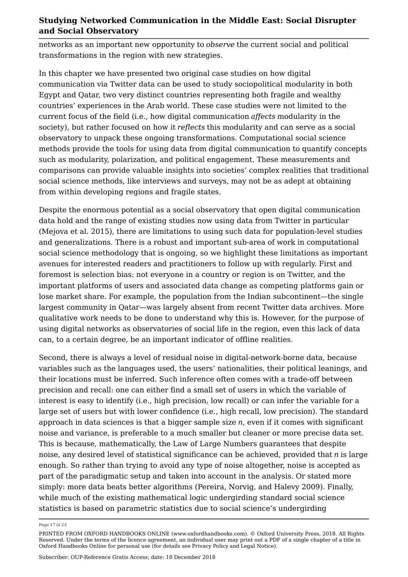networks as an important new opportunity to *observe* the current social and political transformations in the region with new strategies.

In this chapter we have presented two original case studies on how digital communication via Twitter data can be used to study sociopolitical modularity in both Egypt and Qatar, two very distinct countries representing both fragile and wealthy countries' experiences in the Arab world. These case studies were not limited to the current focus of the field (i.e., how digital communication *affects* modularity in the society), but rather focused on how it *reflects* this modularity and can serve as a social observatory to unpack these ongoing transformations. Computational social science methods provide the tools for using data from digital communication to quantify concepts such as modularity, polarization, and political engagement. These measurements and comparisons can provide valuable insights into societies' complex realities that traditional social science methods, like interviews and surveys, may not be as adept at obtaining from within developing regions and fragile states.

Despite the enormous potential as a social observatory that open digital communication data hold and the range of existing studies now using data from Twitter in particular (Mejova et al. 2015), there are limitations to using such data for population-level studies and generalizations. There is a robust and important sub-area of work in computational social science methodology that is ongoing, so we highlight these limitations as important avenues for interested readers and practitioners to follow up with regularly. First and foremost is selection bias: not everyone in a country or region is on Twitter, and the important platforms of users and associated data change as competing platforms gain or lose market share. For example, the population from the Indian subcontinent—the single largest community in Qatar—was largely absent from recent Twitter data archives. More qualitative work needs to be done to understand why this is. However, for the purpose of using digital networks as observatories of social life in the region, even this lack of data can, to a certain degree, be an important indicator of offline realities.

Second, there is always a level of residual noise in digital-network-borne data, because variables such as the languages used, the users' nationalities, their political leanings, and their locations must be inferred. Such inference often comes with a trade-off between precision and recall: one can either find a small set of users in which the variable of interest is easy to identify (i.e., high precision, low recall) or can infer the variable for a large set of users but with lower confidence (i.e., high recall, low precision). The standard approach in data sciences is that a bigger sample size *n*, even if it comes with significant noise and variance, is preferable to a much smaller but cleaner or more precise data set. This is because, mathematically, the Law of Large Numbers guarantees that despite noise, any desired level of statistical significance can be achieved, provided that *n* is large enough. So rather than trying to avoid any type of noise altogether, noise is accepted as part of the paradigmatic setup and taken into account in the analysis. Or stated more simply: more data beats better algorithms (Pereira, Norvig, and Halevy 2009). Finally, while much of the existing mathematical logic undergirding standard social science statistics is based on parametric statistics due to social science's undergirding

Page 17 of 23

PRINTED FROM OXFORD HANDBOOKS ONLINE (www.oxfordhandbooks.com). © Oxford University Press, 2018. All Rights Reserved. Under the terms of the licence agreement, an individual user may print out a PDF of a single chapter of a title in Oxford Handbooks Online for personal use (for details see Privacy Policy and Legal Notice).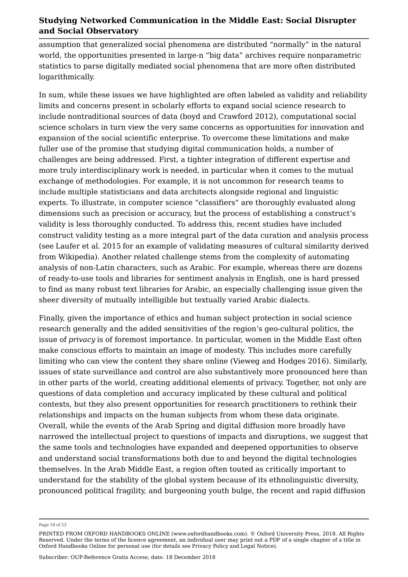assumption that generalized social phenomena are distributed "normally" in the natural world, the opportunities presented in large-n "big data" archives require nonparametric statistics to parse digitally mediated social phenomena that are more often distributed logarithmically.

In sum, while these issues we have highlighted are often labeled as validity and reliability limits and concerns present in scholarly efforts to expand social science research to include nontraditional sources of data (boyd and Crawford 2012), computational social science scholars in turn view the very same concerns as opportunities for innovation and expansion of the social scientific enterprise. To overcome these limitations and make fuller use of the promise that studying digital communication holds, a number of challenges are being addressed. First, a tighter integration of different expertise and more truly interdisciplinary work is needed, in particular when it comes to the mutual exchange of methodologies. For example, it is not uncommon for research teams to include multiple statisticians and data architects alongside regional and linguistic experts. To illustrate, in computer science "classifiers" are thoroughly evaluated along dimensions such as precision or accuracy, but the process of establishing a construct's validity is less thoroughly conducted. To address this, recent studies have included construct validity testing as a more integral part of the data curation and analysis process (see Laufer et al. 2015 for an example of validating measures of cultural similarity derived from Wikipedia). Another related challenge stems from the complexity of automating analysis of non-Latin characters, such as Arabic. For example, whereas there are dozens of ready-to-use tools and libraries for sentiment analysis in English, one is hard pressed to find as many robust text libraries for Arabic, an especially challenging issue given the sheer diversity of mutually intelligible but textually varied Arabic dialects.

Finally, given the importance of ethics and human subject protection in social science research generally and the added sensitivities of the region's geo-cultural politics, the issue of *privacy* is of foremost importance. In particular, women in the Middle East often make conscious efforts to maintain an image of modesty. This includes more carefully limiting who can view the content they share online (Vieweg and Hodges 2016). Similarly, issues of state surveillance and control are also substantively more pronounced here than in other parts of the world, creating additional elements of privacy. Together, not only are questions of data completion and accuracy implicated by these cultural and political contexts, but they also present opportunities for research practitioners to rethink their relationships and impacts on the human subjects from whom these data originate. Overall, while the events of the Arab Spring and digital diffusion more broadly have narrowed the intellectual project to questions of impacts and disruptions, we suggest that the same tools and technologies have expanded and deepened opportunities to observe and understand social transformations both due to and beyond the digital technologies themselves. In the Arab Middle East, a region often touted as critically important to understand for the stability of the global system because of its ethnolinguistic diversity, pronounced political fragility, and burgeoning youth bulge, the recent and rapid diffusion

Page 18 of 23

PRINTED FROM OXFORD HANDBOOKS ONLINE (www.oxfordhandbooks.com). © Oxford University Press, 2018. All Rights Reserved. Under the terms of the licence agreement, an individual user may print out a PDF of a single chapter of a title in Oxford Handbooks Online for personal use (for details see Privacy Policy and Legal Notice).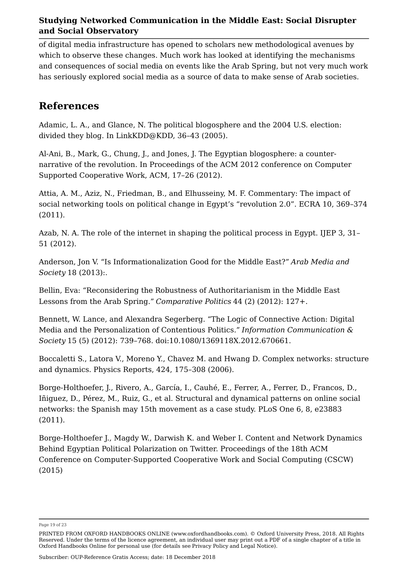of digital media infrastructure has opened to scholars new methodological avenues by which to observe these changes. Much work has looked at identifying the mechanisms and consequences of social media on events like the Arab Spring, but not very much work has seriously explored social media as a source of data to make sense of Arab societies.

## **References**

Adamic, L. A., and Glance, N. The political blogosphere and the 2004 U.S. election: divided they blog. In LinkKDD@KDD, 36–43 (2005).

Al-Ani, B., Mark, G., Chung, J., and Jones, J. The Egyptian blogosphere: a counternarrative of the revolution. In Proceedings of the ACM 2012 conference on Computer Supported Cooperative Work, ACM, 17–26 (2012).

Attia, A. M., Aziz, N., Friedman, B., and Elhusseiny, M. F. Commentary: The impact of social networking tools on political change in Egypt's "revolution 2.0". ECRA 10, 369–374 (2011).

Azab, N. A. The role of the internet in shaping the political process in Egypt. IJEP 3, 31– 51 (2012).

Anderson, Jon V. "Is Informationalization Good for the Middle East?" *Arab Media and Society* 18 (2013):.

Bellin, Eva: "Reconsidering the Robustness of Authoritarianism in the Middle East Lessons from the Arab Spring." *Comparative Politics* 44 (2) (2012): 127+.

Bennett, W. Lance, and Alexandra Segerberg. "The Logic of Connective Action: Digital Media and the Personalization of Contentious Politics." *Information Communication & Society* 15 (5) (2012): 739–768. doi:10.1080/1369118X.2012.670661.

Boccaletti S., Latora V., Moreno Y., Chavez M. and Hwang D. Complex networks: structure and dynamics. Physics Reports, 424, 175–308 (2006).

Borge-Holthoefer, J., Rivero, A., García, I., Cauhé, E., Ferrer, A., Ferrer, D., Francos, D., Iñiguez, D., Pérez, M., Ruiz, G., et al. Structural and dynamical patterns on online social networks: the Spanish may 15th movement as a case study. PLoS One 6, 8, e23883 (2011).

Borge-Holthoefer J., Magdy W., Darwish K. and Weber I. Content and Network Dynamics Behind Egyptian Political Polarization on Twitter. Proceedings of the 18th ACM Conference on Computer-Supported Cooperative Work and Social Computing (CSCW) (2015)

Page 19 of 23

PRINTED FROM OXFORD HANDBOOKS ONLINE (www.oxfordhandbooks.com). © Oxford University Press, 2018. All Rights Reserved. Under the terms of the licence agreement, an individual user may print out a PDF of a single chapter of a title in Oxford Handbooks Online for personal use (for details see Privacy Policy and Legal Notice).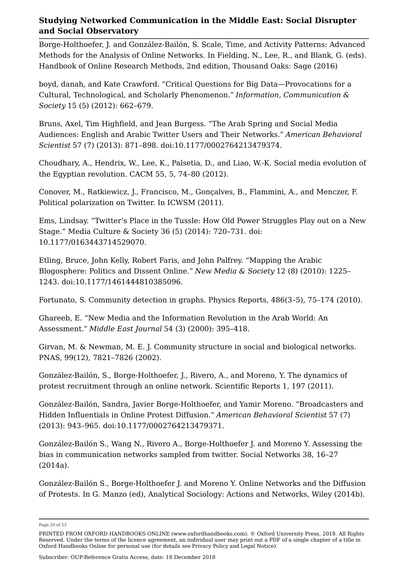Borge-Holthoefer, J. and González-Bailón, S. Scale, Time, and Activity Patterns: Advanced Methods for the Analysis of Online Networks. In Fielding, N., Lee, R., and Blank, G. (eds). Handbook of Online Research Methods, 2nd edition, Thousand Oaks: Sage (2016)

boyd, danah, and Kate Crawford. "Critical Questions for Big Data—Provocations for a Cultural, Technological, and Scholarly Phenomenon." *Information, Communication & Society* 15 (5) (2012): 662–679.

Bruns, Axel, Tim Highfield, and Jean Burgess. "The Arab Spring and Social Media Audiences: English and Arabic Twitter Users and Their Networks." *American Behavioral Scientist* 57 (7) (2013): 871–898. doi:10.1177/0002764213479374.

Choudhary, A., Hendrix, W., Lee, K., Palsetia, D., and Liao, W.-K. Social media evolution of the Egyptian revolution. CACM 55, 5, 74–80 (2012).

Conover, M., Ratkiewicz, J., Francisco, M., Gonçalves, B., Flammini, A., and Menczer, F. Political polarization on Twitter. In ICWSM (2011).

Ems, Lindsay. "Twitter's Place in the Tussle: How Old Power Struggles Play out on a New Stage." Media Culture & Society 36 (5) (2014): 720–731. doi: 10.1177/0163443714529070.

Etling, Bruce, John Kelly, Robert Faris, and John Palfrey. "Mapping the Arabic Blogosphere: Politics and Dissent Online." *New Media & Society* 12 (8) (2010): 1225– 1243. doi:10.1177/1461444810385096.

Fortunato, S. Community detection in graphs. Physics Reports, 486(3–5), 75–174 (2010).

Ghareeb, E. "New Media and the Information Revolution in the Arab World: An Assessment." *Middle East Journal* 54 (3) (2000): 395–418.

Girvan, M. & Newman, M. E. J. Community structure in social and biological networks. PNAS, 99(12), 7821–7826 (2002).

González-Bailón, S., Borge-Holthoefer, J., Rivero, A., and Moreno, Y. The dynamics of protest recruitment through an online network. Scientific Reports 1, 197 (2011).

González-Bailón, Sandra, Javier Borge-Holthoefer, and Yamir Moreno. "Broadcasters and Hidden Influentials in Online Protest Diffusion." *American Behavioral Scientist* 57 (7) (2013): 943–965. doi:10.1177/0002764213479371.

González-Bailón S., Wang N., Rivero A., Borge-Holthoefer J. and Moreno Y. Assessing the bias in communication networks sampled from twitter. Social Networks 38, 16–27 (2014a).

González-Bailón S., Borge-Holthoefer J. and Moreno Y. Online Networks and the Diffusion of Protests. In G. Manzo (ed), Analytical Sociology: Actions and Networks, Wiley (2014b).

Page 20 of 23

PRINTED FROM OXFORD HANDBOOKS ONLINE (www.oxfordhandbooks.com). © Oxford University Press, 2018. All Rights Reserved. Under the terms of the licence agreement, an individual user may print out a PDF of a single chapter of a title in Oxford Handbooks Online for personal use (for details see Privacy Policy and Legal Notice).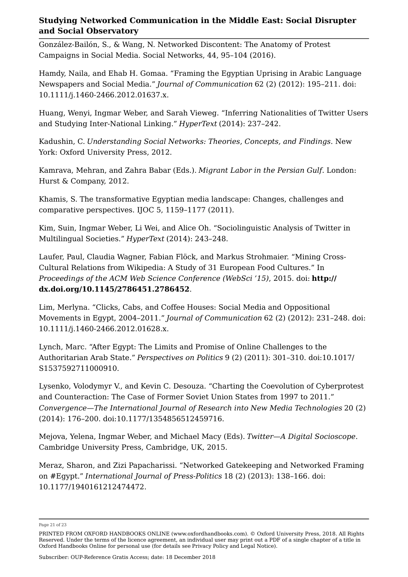González-Bailón, S., & Wang, N. Networked Discontent: The Anatomy of Protest Campaigns in Social Media. Social Networks, 44, 95–104 (2016).

Hamdy, Naila, and Ehab H. Gomaa. "Framing the Egyptian Uprising in Arabic Language Newspapers and Social Media." *Journal of Communication* 62 (2) (2012): 195–211. doi: 10.1111/j.1460-2466.2012.01637.x.

Huang, Wenyi, Ingmar Weber, and Sarah Vieweg. "Inferring Nationalities of Twitter Users and Studying Inter-National Linking." *HyperText* (2014): 237–242.

Kadushin, C. *Understanding Social Networks: Theories, Concepts, and Findings*. New York: Oxford University Press, 2012.

Kamrava, Mehran, and Zahra Babar (Eds.). *Migrant Labor in the Persian Gulf*. London: Hurst & Company, 2012.

Khamis, S. The transformative Egyptian media landscape: Changes, challenges and comparative perspectives. IJOC 5, 1159–1177 (2011).

Kim, Suin, Ingmar Weber, Li Wei, and Alice Oh. "Sociolinguistic Analysis of Twitter in Multilingual Societies." *HyperText* (2014): 243–248.

Laufer, Paul, Claudia Wagner, Fabian Flöck, and Markus Strohmaier. "Mining Cross-Cultural Relations from Wikipedia: A Study of 31 European Food Cultures." In *Proceedings of the ACM Web Science Conference (WebSci '15)*, 2015. doi: **http:// dx.doi.org/10.1145/2786451.2786452**.

Lim, Merlyna. "Clicks, Cabs, and Coffee Houses: Social Media and Oppositional Movements in Egypt, 2004–2011." *Journal of Communication* 62 (2) (2012): 231–248. doi: 10.1111/j.1460-2466.2012.01628.x.

Lynch, Marc. "After Egypt: The Limits and Promise of Online Challenges to the Authoritarian Arab State." *Perspectives on Politics* 9 (2) (2011): 301–310. doi:10.1017/ S1537592711000910.

Lysenko, Volodymyr V., and Kevin C. Desouza. "Charting the Coevolution of Cyberprotest and Counteraction: The Case of Former Soviet Union States from 1997 to 2011." *Convergence—The International Journal of Research into New Media Technologies* 20 (2) (2014): 176–200. doi:10.1177/1354856512459716.

Mejova, Yelena, Ingmar Weber, and Michael Macy (Eds). *Twitter—A Digital Socioscope*. Cambridge University Press, Cambridge, UK, 2015.

Meraz, Sharon, and Zizi Papacharissi. "Networked Gatekeeping and Networked Framing on #Egypt." *International Journal of Press-Politics* 18 (2) (2013): 138–166. doi: 10.1177/1940161212474472.

Page 21 of 23

PRINTED FROM OXFORD HANDBOOKS ONLINE (www.oxfordhandbooks.com). © Oxford University Press, 2018. All Rights Reserved. Under the terms of the licence agreement, an individual user may print out a PDF of a single chapter of a title in Oxford Handbooks Online for personal use (for details see Privacy Policy and Legal Notice).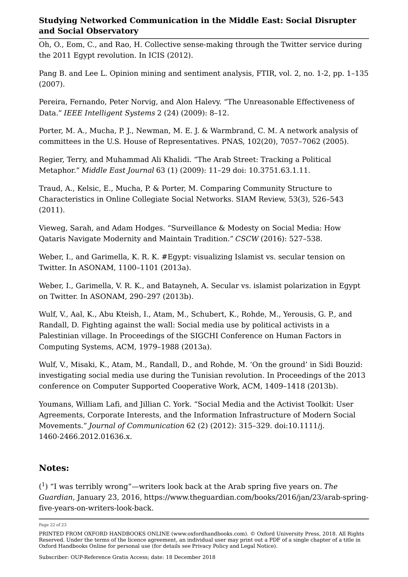Oh, O., Eom, C., and Rao, H. Collective sense-making through the Twitter service during the 2011 Egypt revolution. In ICIS (2012).

Pang B. and Lee L. Opinion mining and sentiment analysis, FTIR, vol. 2, no. 1-2, pp. 1–135 (2007).

Pereira, Fernando, Peter Norvig, and Alon Halevy. "The Unreasonable Effectiveness of Data." *IEEE Intelligent Systems* 2 (24) (2009): 8–12.

Porter, M. A., Mucha, P. J., Newman, M. E. J. & Warmbrand, C. M. A network analysis of committees in the U.S. House of Representatives. PNAS, 102(20), 7057–7062 (2005).

Regier, Terry, and Muhammad Ali Khalidi. "The Arab Street: Tracking a Political Metaphor." *Middle East Journal* 63 (1) (2009): 11–29 doi: 10.3751.63.1.11.

Traud, A., Kelsic, E., Mucha, P. & Porter, M. Comparing Community Structure to Characteristics in Online Collegiate Social Networks. SIAM Review, 53(3), 526–543 (2011).

Vieweg, Sarah, and Adam Hodges. "Surveillance & Modesty on Social Media: How Qataris Navigate Modernity and Maintain Tradition." *CSCW* (2016): 527–538.

Weber, I., and Garimella, K. R. K. #Egypt: visualizing Islamist vs. secular tension on Twitter. In ASONAM, 1100–1101 (2013a).

Weber, I., Garimella, V. R. K., and Batayneh, A. Secular vs. islamist polarization in Egypt on Twitter. In ASONAM, 290–297 (2013b).

Wulf, V., Aal, K., Abu Kteish, I., Atam, M., Schubert, K., Rohde, M., Yerousis, G. P., and Randall, D. Fighting against the wall: Social media use by political activists in a Palestinian village. In Proceedings of the SIGCHI Conference on Human Factors in Computing Systems, ACM, 1979–1988 (2013a).

Wulf, V., Misaki, K., Atam, M., Randall, D., and Rohde, M. 'On the ground' in Sidi Bouzid: investigating social media use during the Tunisian revolution. In Proceedings of the 2013 conference on Computer Supported Cooperative Work, ACM, 1409–1418 (2013b).

Youmans, William Lafi, and Jillian C. York. "Social Media and the Activist Toolkit: User Agreements, Corporate Interests, and the Information Infrastructure of Modern Social Movements." *Journal of Communication* 62 (2) (2012): 315–329. doi:10.1111/j. 1460-2466.2012.01636.x.

### **Notes:**

( ) "I was terribly wrong"—writers look back at the Arab spring five years on. *The Guardian*, January 23, 2016, https://www.theguardian.com/books/2016/jan/23/arab-spring-(<sup>1</sup>) "I was terribly wrong"—writers look back at the<br>*Guardian,* January 23, 2016, https://www.theguardia<br>five-years-on-writers-look-back.

Page 22 of 23

PRINTED FROM OXFORD HANDBOOKS ONLINE (www.oxfordhandbooks.com). © Oxford University Press, 2018. All Rights Reserved. Under the terms of the licence agreement, an individual user may print out a PDF of a single chapter of a title in Oxford Handbooks Online for personal use (for details see Privacy Policy and Legal Notice).